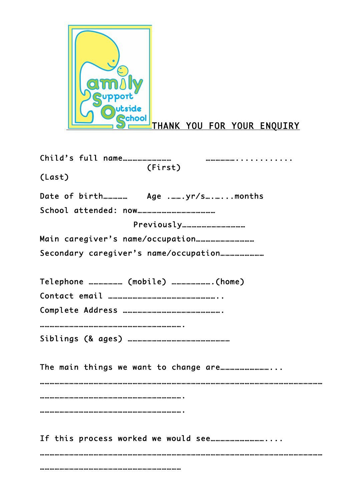

THANK YOU FOR YOUR ENQUIRY

| (First)                                    |
|--------------------------------------------|
| (Last)                                     |
|                                            |
|                                            |
|                                            |
|                                            |
|                                            |
| Telephone ………………… (mobile) …………………… (home) |
|                                            |
|                                            |
|                                            |
|                                            |
|                                            |
|                                            |
|                                            |
|                                            |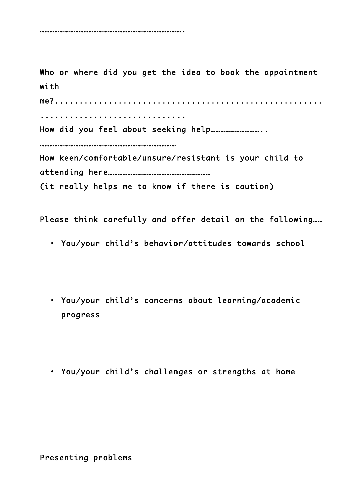…………………………………………………………………………….

Who or where did you get the idea to book the appointment with me?.......................................................

..............................

How did you feel about seeking help…………………………...

…………………………………………………………………………

How keen/comfortable/unsure/resistant is your child to attending here………………………………………………………

(it really helps me to know if there is caution)

Please think carefully and offer detail on the following……

- You/your child's behavior/attitudes towards school
- You/your child's concerns about learning/academic progress
- You/your child's challenges or strengths at home

Presenting problems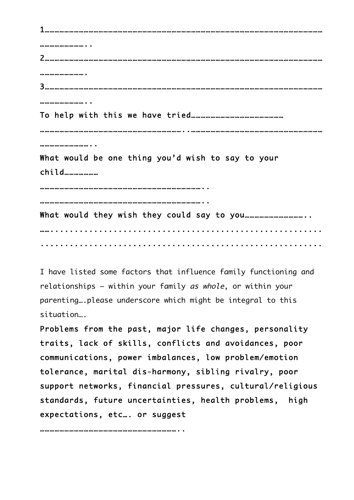1……………………………………………………………………………………………………………………………………………………… ……………………….. 2……………………………………………………………………………………………………………………………………………………… ………………………. 3……………………………………………………………………………………………………………………………………………………… ……………………… To help with this we have tried………………………………………………… ……………………………………………………………………………..……………………………………………………………………… ……………………………… What would be one thing you'd wish to say to your child………………… ……………………………………………………………………………………….. ……………………………………………………………………………………….. What would they wish they could say to you……………………………….. ……........................................................ ..........................................................

I have listed some factors that influence family functioning and relationships – within your family as whole, or within your parenting….please underscore which might be integral to this situation….

Problems from the past, major life changes, personality traits, lack of skills, conflicts and avoidances, poor communications, power imbalances, low problem/emotion tolerance, marital dis-harmony, sibling rivalry, poor support networks, financial pressures, cultural/religious standards, future uncertainties, health problems, high expectations, etc…. or suggest

…………………………………………………………………………..